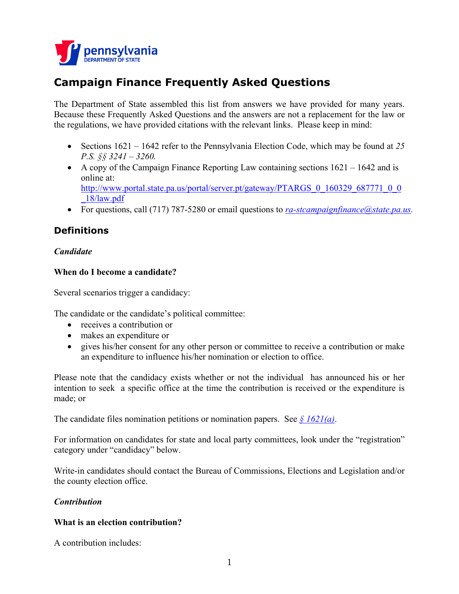

# **Campaign Finance Frequently Asked Questions**

The Department of State assembled this list from answers we have provided for many years. Because these Frequently Asked Questions and the answers are not a replacement for the law or the regulations, we have provided citations with the relevant links. Please keep in mind:

- Sections 1621 1642 refer to the Pennsylvania Election Code, which may be found at *25 P.S. §§ 3241 – 3260.*
- A copy of the Campaign Finance Reporting Law containing sections  $1621 1642$  and is online at: [http://www.portal.state.pa.us/portal/server.pt/gateway/PTARGS\\_0\\_160329\\_687771\\_0\\_0](http://www.portal.state.pa.us/portal/server.pt/gateway/PTARGS_0_160329_687771_0_0_18/law.pdf)\_ [\\_18/law.pdf](http://www.portal.state.pa.us/portal/server.pt/gateway/PTARGS_0_160329_687771_0_0_18/law.pdf)
- For questions, call (717) 787-5280 or email questions to *[ra-stcampaignfinance@state.pa.us.](mailto:ra-stcampaignfinance@state.pa.us)*

# **Definitions**

# *Candidate*

# **When do I become a candidate?**

Several scenarios trigger a candidacy:

The candidate or the candidate's political committee:

- receives a contribution or
- makes an expenditure or
- gives his/her consent for any other person or committee to receive a contribution or make an expenditure to influence his/her nomination or election to office.

Please note that the candidacy exists whether or not the individual has announced his or her intention to seek a specific office at the time the contribution is received or the expenditure is made; or

The candidate files nomination petitions or nomination papers. See  $\frac{\xi}{6}$  [1621\(a\)](http://www.portal.state.pa.us/portal/server.pt/gateway/PTARGS_0_160329_687771_0_0_18/law.pdf).

For information on candidates for state and local party committees, look under the "registration" category under "candidacy" below.

Write-in candidates should contact the Bureau of Commissions, Elections and Legislation and/or the county election office.

# *Contribution*

# **What is an election contribution?**

A contribution includes: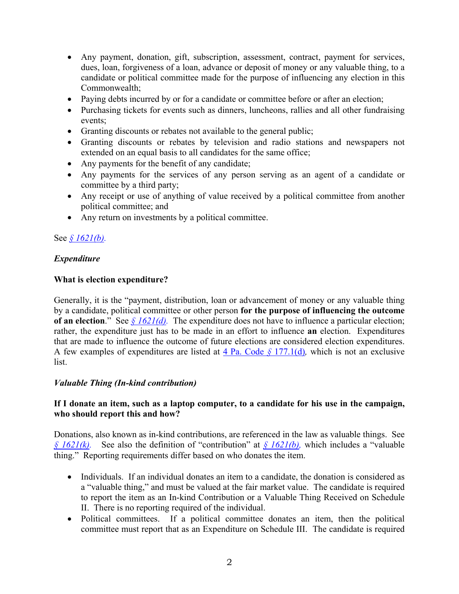- Any payment, donation, gift, subscription, assessment, contract, payment for services, dues, loan, forgiveness of a loan, advance or deposit of money or any valuable thing, to a candidate or political committee made for the purpose of influencing any election in this Commonwealth;
- Paying debts incurred by or for a candidate or committee before or after an election;
- Purchasing tickets for events such as dinners, luncheons, rallies and all other fundraising events;
- Granting discounts or rebates not available to the general public;
- Granting discounts or rebates by television and radio stations and newspapers not extended on an equal basis to all candidates for the same office;
- Any payments for the benefit of any candidate;
- Any payments for the services of any person serving as an agent of a candidate or committee by a third party;
- Any receipt or use of anything of value received by a political committee from another political committee; and
- Any return on investments by a political committee.

# See *§ [1621\(b\).](http://www.portal.state.pa.us/portal/server.pt/gateway/PTARGS_0_160329_687771_0_0_18/law.pdf)*

### *Expenditure*

### **What is election expenditure?**

Generally, it is the "payment, distribution, loan or advancement of money or any valuable thing by a candidate, political committee or other person **for the purpose of influencing the outcome of an election**." See *§ [1621\(d\).](http://www.portal.state.pa.us/portal/server.pt/gateway/PTARGS_0_160329_687771_0_0_18/law.pdf)* The expenditure does not have to influence a particular election; rather, the expenditure just has to be made in an effort to influence **an** election. Expenditures that are made to influence the outcome of future elections are considered election expenditures. A few examples of expenditures are listed at [4 Pa. Code](http://www.pacode.com/secure/data/004/chapter177/s177.1.html) *§* 177.1(d)*,* which is not an exclusive list.

### *Valuable Thing (In-kind contribution)*

### **If I donate an item, such as a laptop computer, to a candidate for his use in the campaign, who should report this and how?**

Donations, also known as in-kind contributions, are referenced in the law as valuable things. See *§ [1621\(k\).](http://www.portal.state.pa.us/portal/server.pt/gateway/PTARGS_0_160329_687771_0_0_18/law.pdf)* See also the definition of "contribution" at *§ [1621\(b\),](http://www.portal.state.pa.us/portal/server.pt/gateway/PTARGS_0_160329_687771_0_0_18/law.pdf)* which includes a "valuable thing." Reporting requirements differ based on who donates the item.

- Individuals. If an individual donates an item to a candidate, the donation is considered as a "valuable thing," and must be valued at the fair market value. The candidate is required to report the item as an In-kind Contribution or a Valuable Thing Received on Schedule II. There is no reporting required of the individual.
- Political committees. If a political committee donates an item, then the political committee must report that as an Expenditure on Schedule III. The candidate is required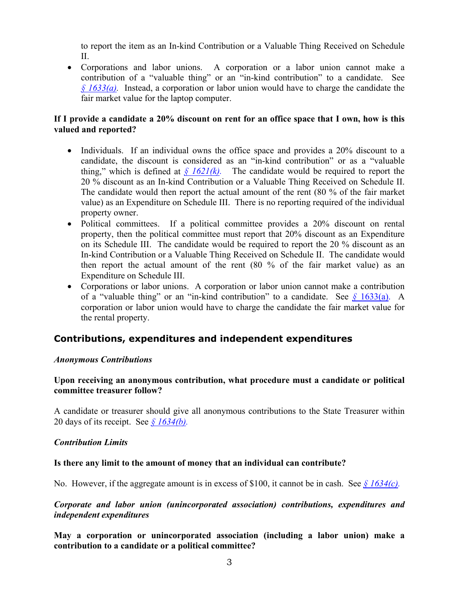to report the item as an In-kind Contribution or a Valuable Thing Received on Schedule  $II$ .

• Corporations and labor unions. A corporation or a labor union cannot make a contribution of a "valuable thing" or an "in-kind contribution" to a candidate. See *§ [1633\(a\).](http://www.portal.state.pa.us/portal/server.pt/gateway/PTARGS_0_160329_687771_0_0_18/law.pdf)* Instead, a corporation or labor union would have to charge the candidate the fair market value for the laptop computer.

### **If I provide a candidate a 20% discount on rent for an office space that I own, how is this valued and reported?**

- Individuals. If an individual owns the office space and provides a 20% discount to a candidate, the discount is considered as an "in-kind contribution" or as a "valuable thing," which is defined at  $\frac{\sqrt{6}}{2}$  *(k)*. The candidate would be required to report the 20 % discount as an In-kind Contribution or a Valuable Thing Received on Schedule II. The candidate would then report the actual amount of the rent (80 % of the fair market value) as an Expenditure on Schedule III. There is no reporting required of the individual property owner.
- Political committees. If a political committee provides a 20% discount on rental property, then the political committee must report that 20% discount as an Expenditure on its Schedule III. The candidate would be required to report the 20 % discount as an In-kind Contribution or a Valuable Thing Received on Schedule II. The candidate would then report the actual amount of the rent (80 % of the fair market value) as an Expenditure on Schedule III.
- Corporations or labor unions. A corporation or labor union cannot make a contribution of a "valuable thing" or an "in-kind contribution" to a candidate. See *§* [1633\(a\).](http://www.portal.state.pa.us/portal/server.pt/gateway/PTARGS_0_160329_687771_0_0_18/law.pdf) A corporation or labor union would have to charge the candidate the fair market value for the rental property.

# **Contributions, expenditures and independent expenditures**

### *Anonymous Contributions*

# **Upon receiving an anonymous contribution, what procedure must a candidate or political committee treasurer follow?**

A candidate or treasurer should give all anonymous contributions to the State Treasurer within 20 days of its receipt. See *§ [1634\(b\).](http://www.portal.state.pa.us/portal/server.pt/gateway/PTARGS_0_160329_687771_0_0_18/law.pdf)*

### *Contribution Limits*

### **Is there any limit to the amount of money that an individual can contribute?**

No. However, if the aggregate amount is in excess of \$100, it cannot be in cash. See *§ [1634\(c\).](http://www.portal.state.pa.us/portal/server.pt/gateway/PTARGS_0_160329_687771_0_0_18/law.pdf)*

### *Corporate and labor union (unincorporated association) contributions, expenditures and independent expenditures*

**May a corporation or unincorporated association (including a labor union) make a contribution to a candidate or a political committee?**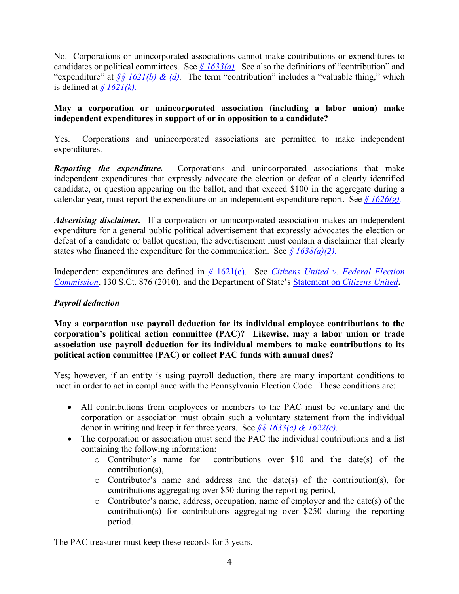No. Corporations or unincorporated associations cannot make contributions or expenditures to candidates or political committees. See  $\frac{\delta 1633(a)}{a}$ . See also the definitions of "contribution" and "expenditure" at *§§ [1621\(b\) & \(d\).](http://www.portal.state.pa.us/portal/server.pt/gateway/PTARGS_0_160329_687771_0_0_18/law.pdf)* The term "contribution" includes a "valuable thing," which is defined at  $\frac{\sqrt{621}}{k}$ .

# **May a corporation or unincorporated association (including a labor union) make independent expenditures in support of or in opposition to a candidate?**

Yes. Corporations and unincorporated associations are permitted to make independent expenditures.

*Reporting the expenditure.* Corporations and unincorporated associations that make independent expenditures that expressly advocate the election or defeat of a clearly identified candidate, or question appearing on the ballot, and that exceed \$100 in the aggregate during a calendar year, must report the expenditure on an independent expenditure report. See *§ [1626\(g\).](http://www.portal.state.pa.us/portal/server.pt/gateway/PTARGS_0_160329_687771_0_0_18/law.pdf)*

*Advertising disclaimer.* If a corporation or unincorporated association makes an independent expenditure for a general public political advertisement that expressly advocates the election or defeat of a candidate or ballot question, the advertisement must contain a disclaimer that clearly states who financed the expenditure for the communication. See  $\frac{\sqrt{6}}{2}$  [1638\(a\)\(2\).](http://www.portal.state.pa.us/portal/server.pt/gateway/PTARGS_0_160329_687771_0_0_18/law.pdf)

Independent expenditures are defined in *§* [1621\(e\)](http://www.portal.state.pa.us/portal/server.pt/gateway/PTARGS_0_160329_687771_0_0_18/law.pdf)*.* See *[Citizens United v. Federal Election](http://caselaw.lp.findlaw.com/cgi-bin/getcase.pl?court=US&navby=case&vol=000&invol=08-205)  [Commission](http://caselaw.lp.findlaw.com/cgi-bin/getcase.pl?court=US&navby=case&vol=000&invol=08-205)*, 130 S.Ct. 876 (2010), and the Department of State's Statement on *[Citizens United](http://www.portal.state.pa.us/portal/server.pt/gateway/PTARGS_0_160329_772781_0_0_18/DOS%20Statement%20on%20Citizens%20United%20Case%2003-10.pdf)***.**

# *Payroll deduction*

**May a corporation use payroll deduction for its individual employee contributions to the corporation's political action committee (PAC)? Likewise, may a labor union or trade association use payroll deduction for its individual members to make contributions to its political action committee (PAC) or collect PAC funds with annual dues?** 

Yes; however, if an entity is using payroll deduction, there are many important conditions to meet in order to act in compliance with the Pennsylvania Election Code. These conditions are:

- All contributions from employees or members to the PAC must be voluntary and the corporation or association must obtain such a voluntary statement from the individual donor in writing and keep it for three years.See *§§ 1633(c) [& 1622\(c\).](http://www.portal.state.pa.us/portal/server.pt/gateway/PTARGS_0_160329_687771_0_0_18/law.pdf)*
- The corporation or association must send the PAC the individual contributions and a list containing the following information:
	- o Contributor's name for contributions over \$10 and the date(s) of the contribution(s),
	- o Contributor's name and address and the date(s) of the contribution(s), for contributions aggregating over \$50 during the reporting period,
	- o Contributor's name, address, occupation, name of employer and the date(s) of the contribution(s) for contributions aggregating over \$250 during the reporting period.

The PAC treasurer must keep these records for 3 years.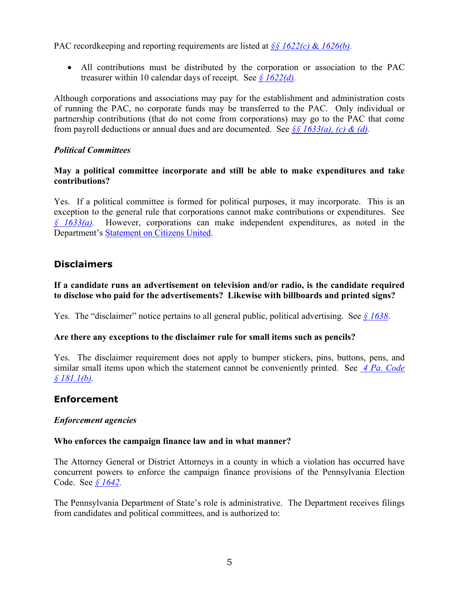PAC recordkeeping and reporting requirements are listed at *§§ 1622(c)* & *[1626\(b\).](http://www.portal.state.pa.us/portal/server.pt/gateway/PTARGS_0_160329_687771_0_0_18/law.pdf)*

• All contributions must be distributed by the corporation or association to the PAC treasurer within 10 calendar days of receipt.See *§ [1622\(d\).](http://www.portal.state.pa.us/portal/server.pt/gateway/PTARGS_0_160329_687771_0_0_18/law.pdf)*

Although corporations and associations may pay for the establishment and administration costs of running the PAC, no corporate funds may be transferred to the PAC. Only individual or partnership contributions (that do not come from corporations) may go to the PAC that come from payroll deductions or annual dues and are documented.See *§§ [1633\(a\), \(c\)](http://www.portal.state.pa.us/portal/server.pt/gateway/PTARGS_0_160329_687771_0_0_18/law.pdf) & (d).*

# *Political Committees*

### **May a political committee incorporate and still be able to make expenditures and take contributions?**

Yes. If a political committee is formed for political purposes, it may incorporate. This is an exception to the general rule that corporations cannot make contributions or expenditures. See *§ [1633\(a\).](http://www.portal.state.pa.us/portal/server.pt/gateway/PTARGS_0_160329_687771_0_0_18/law.pdf)* However, corporations can make independent expenditures, as noted in the Department's [Statement on Citizens United.](http://www.portal.state.pa.us/portal/server.pt/gateway/PTARGS_0_160329_772781_0_0_18/DOS%20Statement%20on%20Citizens%20United%20Case%2003-10.pdf)

# **Disclaimers**

# **If a candidate runs an advertisement on television and/or radio, is the candidate required to disclose who paid for the advertisements? Likewise with billboards and printed signs?**

Yes. The "disclaimer" notice pertains to all general public, political advertising. See *§ [1638](http://www.portal.state.pa.us/portal/server.pt/gateway/PTARGS_0_160329_687771_0_0_18/law.pdf)*.

# **Are there any exceptions to the disclaimer rule for small items such as pencils?**

Yes. The disclaimer requirement does not apply to bumper stickers, pins, buttons, pens, and similar small items upon which the statement cannot be conveniently printed. See *[4 Pa. Code](http://www.pacode.com/secure/data/004/chapter181/chap181toc.html)  § [181.1\(b\).](http://www.pacode.com/secure/data/004/chapter181/chap181toc.html)*

# **Enforcement**

# *Enforcement agencies*

### **Who enforces the campaign finance law and in what manner?**

The Attorney General or District Attorneys in a county in which a violation has occurred have concurrent powers to enforce the campaign finance provisions of the Pennsylvania Election Code.See *§ [1642.](http://www.portal.state.pa.us/portal/server.pt/gateway/PTARGS_0_160329_687771_0_0_18/law.pdf)* 

The Pennsylvania Department of State's role is administrative. The Department receives filings from candidates and political committees, and is authorized to: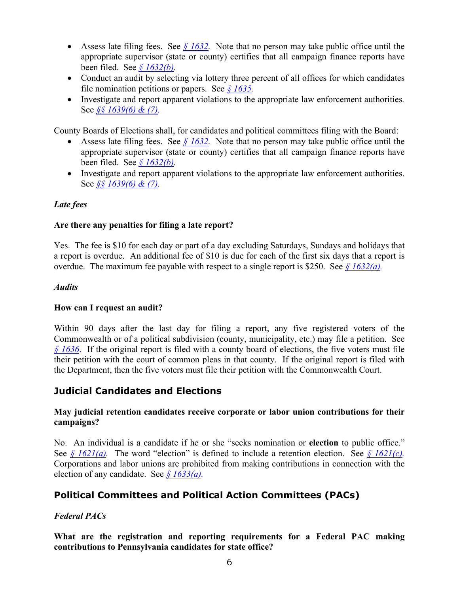- Assess late filing fees. See  $\frac{6}{1632}$ . Note that no person may take public office until the appropriate supervisor (state or county) certifies that all campaign finance reports have been filed. See *§ [1632\(b\).](http://www.portal.state.pa.us/portal/server.pt/gateway/PTARGS_0_160329_687771_0_0_18/law.pdf)*
- Conduct an audit by selecting via lottery three percent of all offices for which candidates file nomination petitions or papers.See *§ [1635.](http://www.portal.state.pa.us/portal/server.pt/gateway/PTARGS_0_160329_687771_0_0_18/law.pdf)*
- Investigate and report apparent violations to the appropriate law enforcement authorities*.*  See *§§ [1639\(6\) & \(7\).](http://www.portal.state.pa.us/portal/server.pt/gateway/PTARGS_0_160329_687771_0_0_18/law.pdf)*

County Boards of Elections shall, for candidates and political committees filing with the Board:

- Assess late filing fees.See *§ [1632.](http://www.portal.state.pa.us/portal/server.pt/gateway/PTARGS_0_160329_687771_0_0_18/law.pdf)* Note that no person may take public office until the appropriate supervisor (state or county) certifies that all campaign finance reports have been filed. See *§ [1632\(b\).](http://www.portal.state.pa.us/portal/server.pt/gateway/PTARGS_0_160329_687771_0_0_18/law.pdf)*
- Investigate and report apparent violations to the appropriate law enforcement authorities. See *§§ [1639\(6\) & \(7\).](http://www.portal.state.pa.us/portal/server.pt/gateway/PTARGS_0_160329_687771_0_0_18/law.pdf)*

# *Late fees*

# **Are there any penalties for filing a late report?**

Yes. The fee is \$10 for each day or part of a day excluding Saturdays, Sundays and holidays that a report is overdue. An additional fee of \$10 is due for each of the first six days that a report is overdue. The maximum fee payable with respect to a single report is \$250.See *§ [1632\(a\).](http://www.portal.state.pa.us/portal/server.pt/gateway/PTARGS_0_160329_687771_0_0_18/law.pdf)*

### *Audits*

# **How can I request an audit?**

Within 90 days after the last day for filing a report, any five registered voters of the Commonwealth or of a political subdivision (county, municipality, etc.) may file a petition.See *§ [1636](http://www.portal.state.pa.us/portal/server.pt/gateway/PTARGS_0_160329_687771_0_0_18/law.pdf)*. If the original report is filed with a county board of elections, the five voters must file their petition with the court of common pleas in that county. If the original report is filed with the Department, then the five voters must file their petition with the Commonwealth Court.

# **Judicial Candidates and Elections**

### **May judicial retention candidates receive corporate or labor union contributions for their campaigns?**

No. An individual is a candidate if he or she "seeks nomination or **election** to public office." See  $\oint$  *[1621\(a\).](http://www.portal.state.pa.us/portal/server.pt/gateway/PTARGS_0_160329_687771_0_0_18/law.pdf)* The word "election" is defined to include a retention election. See  $\oint$  *1621(c).* Corporations and labor unions are prohibited from making contributions in connection with the election of any candidate.See *§ [1633\(a\).](http://www.portal.state.pa.us/portal/server.pt/gateway/PTARGS_0_160329_687771_0_0_18/law.pdf)*

# **Political Committees and Political Action Committees (PACs)**

# *Federal PACs*

**What are the registration and reporting requirements for a Federal PAC making contributions to Pennsylvania candidates for state office?**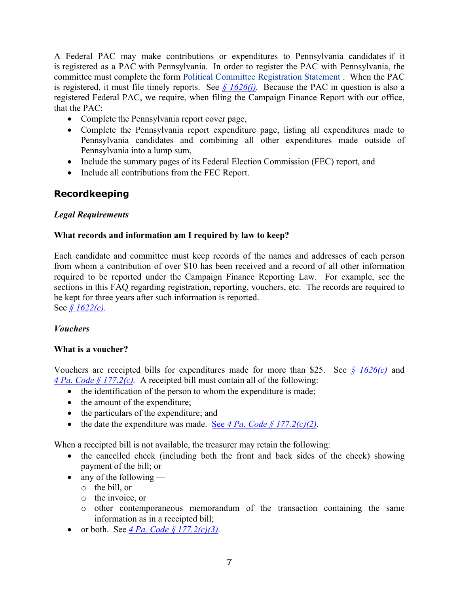A Federal PAC may make contributions or expenditures to Pennsylvania candidates if it is registered as a PAC with Pennsylvania. In order to register the PAC with Pennsylvania, the committee must complete the form [Political Committee Registration Statement .](http://www.portal.state.pa.us/portal/server.pt?open=18&objID=904885&mode=2) When the PAC is registered, it must file timely reports. See *§ [1626\(j\).](http://www.portal.state.pa.us/portal/server.pt/gateway/PTARGS_0_160329_687771_0_0_18/law.pdf)* Because the PAC in question is also a registered Federal PAC, we require, when filing the Campaign Finance Report with our office, that the PAC:

- Complete the Pennsylvania report cover page,
- Complete the Pennsylvania report expenditure page, listing all expenditures made to Pennsylvania candidates and combining all other expenditures made outside of Pennsylvania into a lump sum,
- Include the summary pages of its Federal Election Commission (FEC) report, and
- Include all contributions from the FEC Report.

# **Recordkeeping**

# *Legal Requirements*

# **What records and information am I required by law to keep?**

Each candidate and committee must keep records of the names and addresses of each person from whom a contribution of over \$10 has been received and a record of all other information required to be reported under the Campaign Finance Reporting Law. For example, see the sections in this FAQ regarding registration, reporting, vouchers, etc. The records are required to be kept for three years after such information is reported.

See *§ [1622\(c\).](http://www.portal.state.pa.us/portal/server.pt/gateway/PTARGS_0_160329_687771_0_0_18/law.pdf)*

# *Vouchers*

### **What is a voucher?**

Vouchers are receipted bills for expenditures made for more than \$25.See *§ [1626\(c\)](http://www.portal.state.pa.us/portal/server.pt/gateway/PTARGS_0_160329_687771_0_0_18/law.pdf)* and *[4 Pa. Code §](http://www.pacode.com/secure/data/004/chapter177/s177.2.html) 177.2(c).* A receipted bill must contain all of the following:

- the identification of the person to whom the expenditure is made;
- the amount of the expenditure;
- the particulars of the expenditure; and
- the date the expenditure was made. See  $4 Pa$ . Code  $\frac{6}{5}$  177.2(c)(2).

When a receipted bill is not available, the treasurer may retain the following:

- the cancelled check (including both the front and back sides of the check) showing payment of the bill; or
- any of the following
	- o the bill, or
	- o the invoice, or
	- o other contemporaneous memorandum of the transaction containing the same information as in a receipted bill;
- or both.See *[4 Pa. Code §](http://www.pacode.com/secure/data/004/chapter177/s177.2.html) 177.2(c)(3).*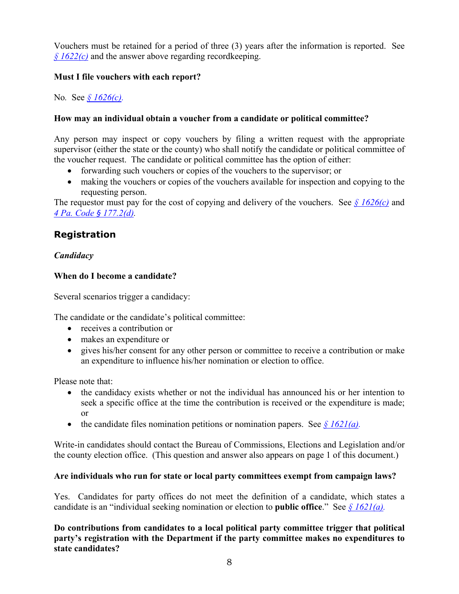Vouchers must be retained for a period of three (3) years after the information is reported.See *§ [1622\(c\)](http://www.portal.state.pa.us/portal/server.pt/gateway/PTARGS_0_160329_687771_0_0_18/law.pdf)* and the answer above regarding recordkeeping.

# **Must I file vouchers with each report?**

No*.* See *§ [1626\(c\).](http://www.portal.state.pa.us/portal/server.pt/gateway/PTARGS_0_160329_687771_0_0_18/law.pdf)*

# **How may an individual obtain a voucher from a candidate or political committee?**

Any person may inspect or copy vouchers by filing a written request with the appropriate supervisor (either the state or the county) who shall notify the candidate or political committee of the voucher request. The candidate or political committee has the option of either:

- forwarding such vouchers or copies of the vouchers to the supervisor; or
- making the vouchers or copies of the vouchers available for inspection and copying to the requesting person.

The requestor must pay for the cost of copying and delivery of the vouchers. See *§ [1626\(c\)](http://www.portal.state.pa.us/portal/server.pt/gateway/PTARGS_0_160329_687771_0_0_18/law.pdf)* and *[4 Pa. Code](http://www.pacode.com/secure/data/004/chapter177/s177.2.html) § 177.2(d).* 

# **Registration**

# *Candidacy*

# **When do I become a candidate?**

Several scenarios trigger a candidacy:

The candidate or the candidate's political committee:

- receives a contribution or
- makes an expenditure or
- gives his/her consent for any other person or committee to receive a contribution or make an expenditure to influence his/her nomination or election to office.

Please note that:

- the candidacy exists whether or not the individual has announced his or her intention to seek a specific office at the time the contribution is received or the expenditure is made; or
- the candidate files nomination petitions or nomination papers. See *§ [1621\(a\).](http://www.portal.state.pa.us/portal/server.pt/gateway/PTARGS_0_160329_687771_0_0_18/law.pdf)*

Write-in candidates should contact the Bureau of Commissions, Elections and Legislation and/or the county election office. (This question and answer also appears on page 1 of this document.)

# **Are individuals who run for state or local party committees exempt from campaign laws?**

Yes. Candidates for party offices do not meet the definition of a candidate, which states a candidate is an "individual seeking nomination or election to **public office**."See *§ [1621\(a\).](http://www.portal.state.pa.us/portal/server.pt/gateway/PTARGS_0_160329_687771_0_0_18/law.pdf)*

**Do contributions from candidates to a local political party committee trigger that political party's registration with the Department if the party committee makes no expenditures to state candidates?**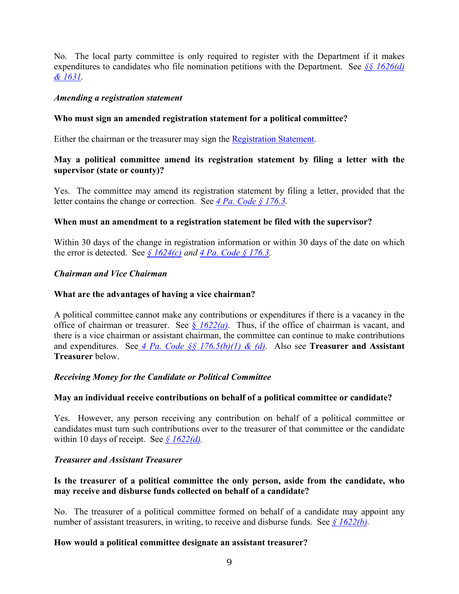No. The local party committee is only required to register with the Department if it makes expenditures to candidates who file nomination petitions with the Department.See *§§ [1626\(d\)](http://www.portal.state.pa.us/portal/server.pt/gateway/PTARGS_0_160329_687771_0_0_18/law.pdf)  & [1631.](http://www.portal.state.pa.us/portal/server.pt/gateway/PTARGS_0_160329_687771_0_0_18/law.pdf)*

### *Amending a registration statement*

### **Who must sign an amended registration statement for a political committee?**

Either the chairman or the treasurer may sign the [Registration Statement.](http://www.portal.state.pa.us/portal/server.pt?open=18&objID=904885&mode=2)

# **May a political committee amend its registration statement by filing a letter with the supervisor (state or county)?**

Yes. The committee may amend its registration statement by filing a letter, provided that the letter contains the change or correction.See *[4 Pa. Code §](http://www.pacode.com/secure/data/004/chapter176/s176.3.html) 176.3.*

### **When must an amendment to a registration statement be filed with the supervisor?**

Within 30 days of the change in registration information or within 30 days of the date on which the error is detected. See *§ [1624\(c\)](http://www.portal.state.pa.us/portal/server.pt/gateway/PTARGS_0_160329_687771_0_0_18/law.pdf) and [4 Pa. Code §](http://www.pacode.com/secure/data/004/chapter176/s176.3.html) 176.3.*

### *Chairman and Vice Chairman*

### **What are the advantages of having a vice chairman?**

A political committee cannot make any contributions or expenditures if there is a vacancy in the office of chairman or treasurer. See  $\frac{8}{3}$  [1622\(a\).](http://www.portal.state.pa.us/portal/server.pt/gateway/PTARGS_0_160329_687771_0_0_18/law.pdf) Thus, if the office of chairman is vacant, and there is a vice chairman or assistant chairman, the committee can continue to make contributions and expenditures. See *4 Pa. Code §§ [176.5\(b\)\(1\) & \(d\).](http://www.pacode.com/secure/data/004/chapter176/s176.5.html)* Also see **Treasurer and Assistant Treasurer** below.

### *Receiving Money for the Candidate or Political Committee*

### **May an individual receive contributions on behalf of a political committee or candidate?**

Yes. However, any person receiving any contribution on behalf of a political committee or candidates must turn such contributions over to the treasurer of that committee or the candidate within 10 days of receipt. See  $\frac{\sqrt{6}}{22}$  *s* 1622(*d*).

### *Treasurer and Assistant Treasurer*

### **Is the treasurer of a political committee the only person, aside from the candidate, who may receive and disburse funds collected on behalf of a candidate?**

No. The treasurer of a political committee formed on behalf of a candidate may appoint any number of assistant treasurers, in writing, to receive and disburse funds. See *§ [1622\(b\).](http://www.portal.state.pa.us/portal/server.pt/gateway/PTARGS_0_160329_687771_0_0_18/law.pdf)* 

### **How would a political committee designate an assistant treasurer?**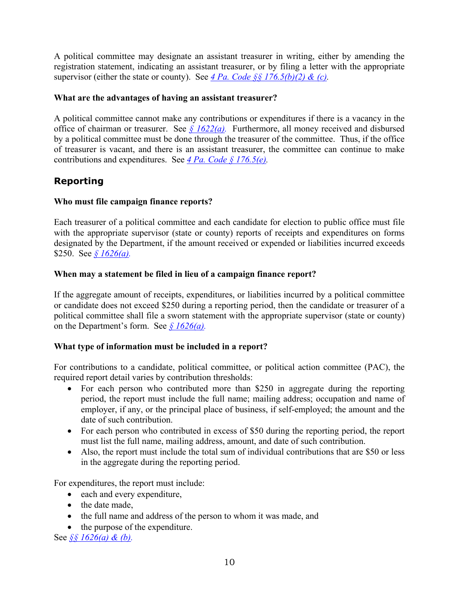A political committee may designate an assistant treasurer in writing, either by amending the registration statement, indicating an assistant treasurer, or by filing a letter with the appropriate supervisor (either the state or county). See 4 Pa. Code  $\S$   $\S$   $176.5(b)(2)$  & (c).

### **What are the advantages of having an assistant treasurer?**

A political committee cannot make any contributions or expenditures if there is a vacancy in the office of chairman or treasurer.See *§ [1622\(a\).](http://www.portal.state.pa.us/portal/server.pt/gateway/PTARGS_0_160329_687771_0_0_18/law.pdf)* Furthermore, all money received and disbursed by a political committee must be done through the treasurer of the committee. Thus, if the office of treasurer is vacant, and there is an assistant treasurer, the committee can continue to make contributions and expenditures.See *[4 Pa. Code §](http://www.pacode.com/secure/data/004/chapter176/s176.5.html) 176.5(e).*

# **Reporting**

# **Who must file campaign finance reports?**

Each treasurer of a political committee and each candidate for election to public office must file with the appropriate supervisor (state or county) reports of receipts and expenditures on forms designated by the Department, if the amount received or expended or liabilities incurred exceeds \$250.See *§ [1626\(a\).](http://www.portal.state.pa.us/portal/server.pt/gateway/PTARGS_0_160329_687771_0_0_18/law.pdf)* 

# **When may a statement be filed in lieu of a campaign finance report?**

If the aggregate amount of receipts, expenditures, or liabilities incurred by a political committee or candidate does not exceed \$250 during a reporting period, then the candidate or treasurer of a political committee shall file a sworn statement with the appropriate supervisor (state or county) on the Department's form.See *§ [1626\(a\).](http://www.portal.state.pa.us/portal/server.pt/gateway/PTARGS_0_160329_687771_0_0_18/law.pdf)* 

# **What type of information must be included in a report?**

For contributions to a candidate, political committee, or political action committee (PAC), the required report detail varies by contribution thresholds:

- For each person who contributed more than \$250 in aggregate during the reporting period, the report must include the full name; mailing address; occupation and name of employer, if any, or the principal place of business, if self-employed; the amount and the date of such contribution.
- For each person who contributed in excess of \$50 during the reporting period, the report must list the full name, mailing address, amount, and date of such contribution.
- Also, the report must include the total sum of individual contributions that are \$50 or less in the aggregate during the reporting period.

For expenditures, the report must include:

- each and every expenditure,
- the date made
- the full name and address of the person to whom it was made, and
- the purpose of the expenditure.

See *§§ [1626\(a\) & \(b\).](http://www.portal.state.pa.us/portal/server.pt/gateway/PTARGS_0_160329_687771_0_0_18/law.pdf)*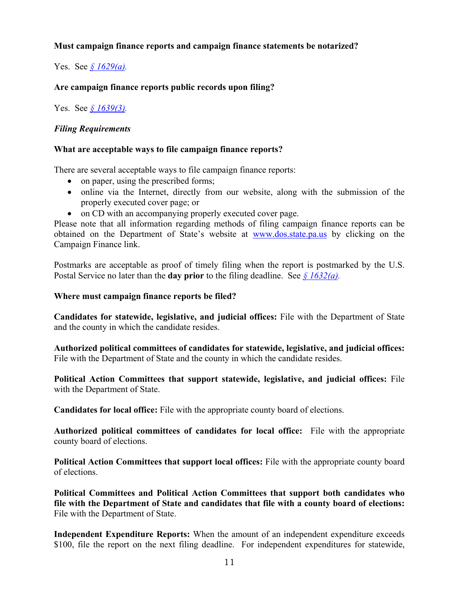# **Must campaign finance reports and campaign finance statements be notarized?**

Yes.See *§ [1629\(a\).](http://www.portal.state.pa.us/portal/server.pt/gateway/PTARGS_0_160329_687771_0_0_18/law.pdf)*

### **Are campaign finance reports public records upon filing?**

Yes.See *§ [1639\(3\).](http://www.portal.state.pa.us/portal/server.pt/gateway/PTARGS_0_160329_687771_0_0_18/law.pdf)*

### *Filing Requirements*

### **What are acceptable ways to file campaign finance reports?**

There are several acceptable ways to file campaign finance reports:

- on paper, using the prescribed forms;
- online via the Internet, directly from our website, along with the submission of the properly executed cover page; or
- on CD with an accompanying properly executed cover page.

Please note that all information regarding methods of filing campaign finance reports can be obtained on the Department of State's website at [www.dos.state.pa.us](http://www.dos.state.pa.us/) by clicking on the Campaign Finance link.

Postmarks are acceptable as proof of timely filing when the report is postmarked by the U.S. Postal Service no later than the **day prior** to the filing deadline. See *§ [1632\(a\).](http://www.portal.state.pa.us/portal/server.pt/gateway/PTARGS_0_160329_687771_0_0_18/law.pdf)*

#### **Where must campaign finance reports be filed?**

**Candidates for statewide, legislative, and judicial offices:** File with the Department of State and the county in which the candidate resides.

**Authorized political committees of candidates for statewide, legislative, and judicial offices:** File with the Department of State and the county in which the candidate resides.

**Political Action Committees that support statewide, legislative, and judicial offices:** File with the Department of State.

**Candidates for local office:** File with the appropriate county board of elections.

**Authorized political committees of candidates for local office:** File with the appropriate county board of elections.

**Political Action Committees that support local offices:** File with the appropriate county board of elections.

**Political Committees and Political Action Committees that support both candidates who file with the Department of State and candidates that file with a county board of elections:** File with the Department of State.

**Independent Expenditure Reports:** When the amount of an independent expenditure exceeds \$100, file the report on the next filing deadline. For independent expenditures for statewide,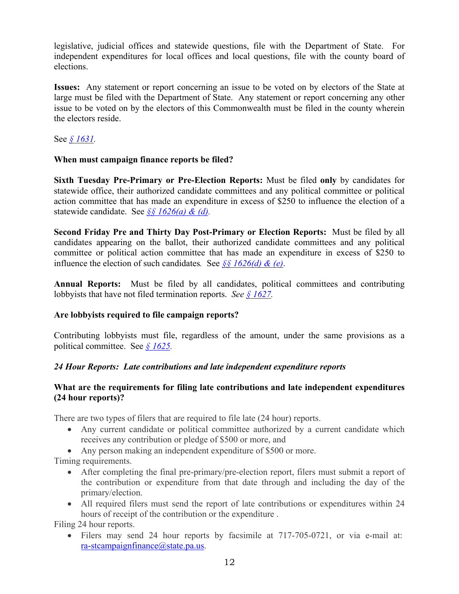legislative, judicial offices and statewide questions, file with the Department of State. For independent expenditures for local offices and local questions, file with the county board of elections.

**Issues:** Any statement or report concerning an issue to be voted on by electors of the State at large must be filed with the Department of State. Any statement or report concerning any other issue to be voted on by the electors of this Commonwealth must be filed in the county wherein the electors reside.

See *§ [1631.](http://www.portal.state.pa.us/portal/server.pt/gateway/PTARGS_0_160329_687771_0_0_18/law.pdf)*

# **When must campaign finance reports be filed?**

**Sixth Tuesday Pre-Primary or Pre-Election Reports:** Must be filed **only** by candidates for statewide office, their authorized candidate committees and any political committee or political action committee that has made an expenditure in excess of \$250 to influence the election of a statewide candidate.See *§§ [1626\(a\) & \(d\).](http://www.portal.state.pa.us/portal/server.pt/gateway/PTARGS_0_160329_687771_0_0_18/law.pdf)*

**Second Friday Pre and Thirty Day Post-Primary or Election Reports:** Must be filed by all candidates appearing on the ballot, their authorized candidate committees and any political committee or political action committee that has made an expenditure in excess of \$250 to influence the election of such candidates. See *§§* [1626\(d\) & \(e\)](http://www.portal.state.pa.us/portal/server.pt/gateway/PTARGS_0_160329_687771_0_0_18/law.pdf).

**Annual Reports:** Must be filed by all candidates, political committees and contributing lobbyists that have not filed termination reports. *See § [1627.](http://www.portal.state.pa.us/portal/server.pt/gateway/PTARGS_0_160329_687771_0_0_18/law.pdf)*

# **Are lobbyists required to file campaign reports?**

Contributing lobbyists must file, regardless of the amount, under the same provisions as a political committee.See *§ [1625.](http://www.portal.state.pa.us/portal/server.pt/gateway/PTARGS_0_160329_687771_0_0_18/law.pdf)* 

# *24 Hour Reports: Late contributions and late independent expenditure reports*

# **What are the requirements for filing late contributions and late independent expenditures (24 hour reports)?**

There are two types of filers that are required to file late (24 hour) reports.

• Any current candidate or political committee authorized by a current candidate which receives any contribution or pledge of \$500 or more, and

• Any person making an independent expenditure of \$500 or more.

Timing requirements.

- After completing the final pre-primary/pre-election report, filers must submit a report of the contribution or expenditure from that date through and including the day of the primary/election.
- All required filers must send the report of late contributions or expenditures within 24 hours of receipt of the contribution or the expenditure .

Filing 24 hour reports.

• Filers may send 24 hour reports by facsimile at 717-705-0721, or via e-mail at: [ra-stcampaignfinance@state.pa.us.](mailto:ra-stcampaignfinance@state.pa.us)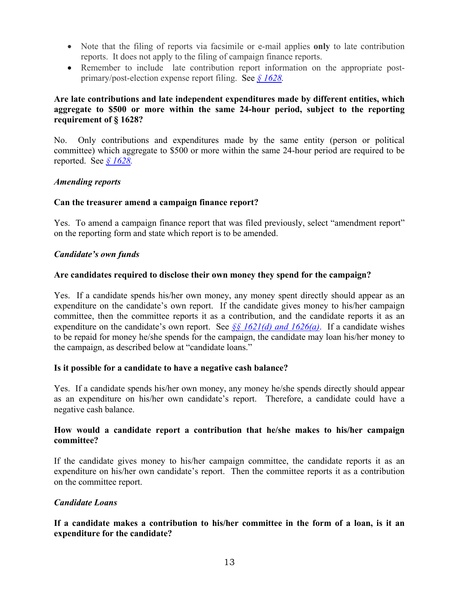- Note that the filing of reports via facsimile or e-mail applies **only** to late contribution reports. It does not apply to the filing of campaign finance reports.
- Remember to include late contribution report information on the appropriate postprimary/post-election expense report filing.See *§ [1628.](http://www.portal.state.pa.us/portal/server.pt/gateway/PTARGS_0_160329_687771_0_0_18/law.pdf)*

# **Are late contributions and late independent expenditures made by different entities, which aggregate to \$500 or more within the same 24-hour period, subject to the reporting requirement of § 1628?**

No. Only contributions and expenditures made by the same entity (person or political committee) which aggregate to \$500 or more within the same 24-hour period are required to be reported.See *§ [1628.](http://www.portal.state.pa.us/portal/server.pt/gateway/PTARGS_0_160329_687771_0_0_18/law.pdf)*

### *Amending reports*

### **Can the treasurer amend a campaign finance report?**

Yes. To amend a campaign finance report that was filed previously, select "amendment report" on the reporting form and state which report is to be amended.

### *Candidate's own funds*

### **Are candidates required to disclose their own money they spend for the campaign?**

Yes. If a candidate spends his/her own money, any money spent directly should appear as an expenditure on the candidate's own report. If the candidate gives money to his/her campaign committee, then the committee reports it as a contribution, and the candidate reports it as an expenditure on the candidate's own report.See *§§ [1621\(d\) and 1626\(a\)](http://www.portal.state.pa.us/portal/server.pt/gateway/PTARGS_0_160329_687771_0_0_18/law.pdf)*.If a candidate wishes to be repaid for money he/she spends for the campaign, the candidate may loan his/her money to the campaign, as described below at "candidate loans."

### **Is it possible for a candidate to have a negative cash balance?**

Yes. If a candidate spends his/her own money, any money he/she spends directly should appear as an expenditure on his/her own candidate's report. Therefore, a candidate could have a negative cash balance.

### **How would a candidate report a contribution that he/she makes to his/her campaign committee?**

If the candidate gives money to his/her campaign committee, the candidate reports it as an expenditure on his/her own candidate's report. Then the committee reports it as a contribution on the committee report.

# *Candidate Loans*

### **If a candidate makes a contribution to his/her committee in the form of a loan, is it an expenditure for the candidate?**